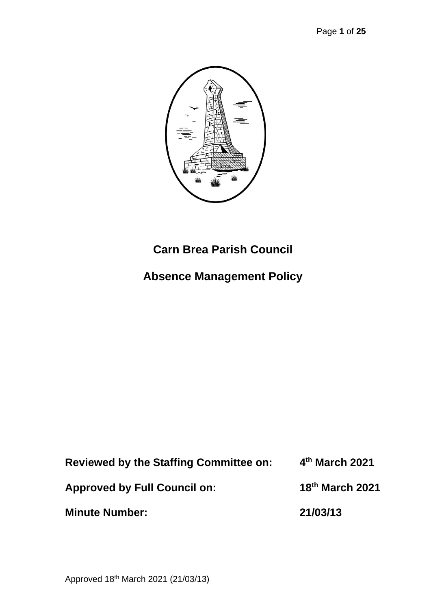

# **Carn Brea Parish Council**

# **Absence Management Policy**

| <b>Reviewed by the Staffing Committee on:</b> | 4th March 2021              |
|-----------------------------------------------|-----------------------------|
| <b>Approved by Full Council on:</b>           | 18 <sup>th</sup> March 2021 |
| <b>Minute Number:</b>                         | 21/03/13                    |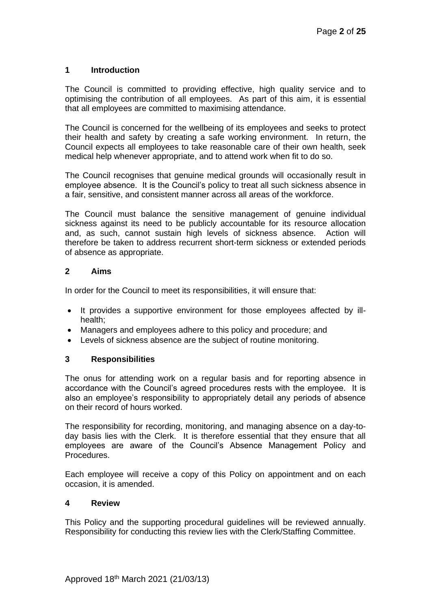### **1 Introduction**

The Council is committed to providing effective, high quality service and to optimising the contribution of all employees. As part of this aim, it is essential that all employees are committed to maximising attendance.

The Council is concerned for the wellbeing of its employees and seeks to protect their health and safety by creating a safe working environment. In return, the Council expects all employees to take reasonable care of their own health, seek medical help whenever appropriate, and to attend work when fit to do so.

The Council recognises that genuine medical grounds will occasionally result in employee absence. It is the Council's policy to treat all such sickness absence in a fair, sensitive, and consistent manner across all areas of the workforce.

The Council must balance the sensitive management of genuine individual sickness against its need to be publicly accountable for its resource allocation and, as such, cannot sustain high levels of sickness absence. Action will therefore be taken to address recurrent short-term sickness or extended periods of absence as appropriate.

#### **2 Aims**

In order for the Council to meet its responsibilities, it will ensure that:

- It provides a supportive environment for those employees affected by illhealth;
- Managers and employees adhere to this policy and procedure; and
- Levels of sickness absence are the subject of routine monitoring.

## **3 Responsibilities**

The onus for attending work on a regular basis and for reporting absence in accordance with the Council's agreed procedures rests with the employee. It is also an employee's responsibility to appropriately detail any periods of absence on their record of hours worked.

The responsibility for recording, monitoring, and managing absence on a day-today basis lies with the Clerk. It is therefore essential that they ensure that all employees are aware of the Council's Absence Management Policy and Procedures.

Each employee will receive a copy of this Policy on appointment and on each occasion, it is amended.

#### **4 Review**

This Policy and the supporting procedural guidelines will be reviewed annually. Responsibility for conducting this review lies with the Clerk/Staffing Committee.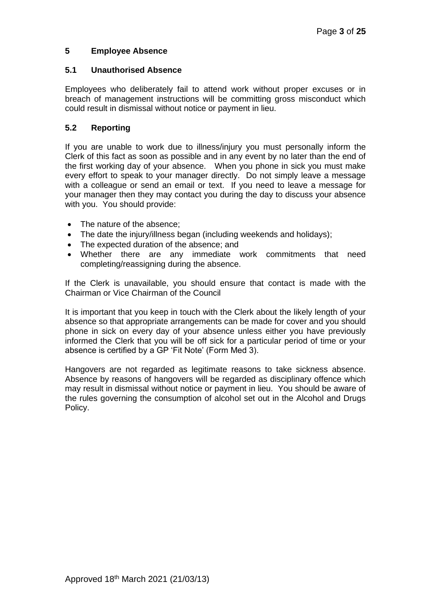## **5 Employee Absence**

#### **5.1 Unauthorised Absence**

Employees who deliberately fail to attend work without proper excuses or in breach of management instructions will be committing gross misconduct which could result in dismissal without notice or payment in lieu.

## **5.2 Reporting**

If you are unable to work due to illness/injury you must personally inform the Clerk of this fact as soon as possible and in any event by no later than the end of the first working day of your absence. When you phone in sick you must make every effort to speak to your manager directly. Do not simply leave a message with a colleague or send an email or text. If you need to leave a message for your manager then they may contact you during the day to discuss your absence with you. You should provide:

- The nature of the absence;
- The date the injury/illness began (including weekends and holidays);
- The expected duration of the absence: and
- Whether there are any immediate work commitments that need completing/reassigning during the absence.

If the Clerk is unavailable, you should ensure that contact is made with the Chairman or Vice Chairman of the Council

It is important that you keep in touch with the Clerk about the likely length of your absence so that appropriate arrangements can be made for cover and you should phone in sick on every day of your absence unless either you have previously informed the Clerk that you will be off sick for a particular period of time or your absence is certified by a GP 'Fit Note' (Form Med 3).

Hangovers are not regarded as legitimate reasons to take sickness absence. Absence by reasons of hangovers will be regarded as disciplinary offence which may result in dismissal without notice or payment in lieu. You should be aware of the rules governing the consumption of alcohol set out in the Alcohol and Drugs Policy.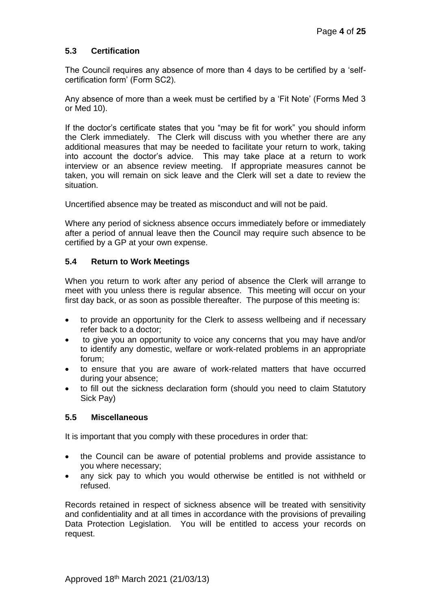## **5.3 Certification**

The Council requires any absence of more than 4 days to be certified by a 'selfcertification form' (Form SC2).

Any absence of more than a week must be certified by a 'Fit Note' (Forms Med 3 or Med 10).

If the doctor's certificate states that you "may be fit for work" you should inform the Clerk immediately. The Clerk will discuss with you whether there are any additional measures that may be needed to facilitate your return to work, taking into account the doctor's advice. This may take place at a return to work interview or an absence review meeting. If appropriate measures cannot be taken, you will remain on sick leave and the Clerk will set a date to review the situation.

Uncertified absence may be treated as misconduct and will not be paid.

Where any period of sickness absence occurs immediately before or immediately after a period of annual leave then the Council may require such absence to be certified by a GP at your own expense.

#### **5.4 Return to Work Meetings**

When you return to work after any period of absence the Clerk will arrange to meet with you unless there is regular absence. This meeting will occur on your first day back, or as soon as possible thereafter. The purpose of this meeting is:

- to provide an opportunity for the Clerk to assess wellbeing and if necessary refer back to a doctor;
- to give you an opportunity to voice any concerns that you may have and/or to identify any domestic, welfare or work-related problems in an appropriate forum;
- to ensure that you are aware of work-related matters that have occurred during your absence;
- to fill out the sickness declaration form (should you need to claim Statutory Sick Pay)

#### **5.5 Miscellaneous**

It is important that you comply with these procedures in order that:

- the Council can be aware of potential problems and provide assistance to you where necessary;
- any sick pay to which you would otherwise be entitled is not withheld or refused.

Records retained in respect of sickness absence will be treated with sensitivity and confidentiality and at all times in accordance with the provisions of prevailing Data Protection Legislation. You will be entitled to access your records on request.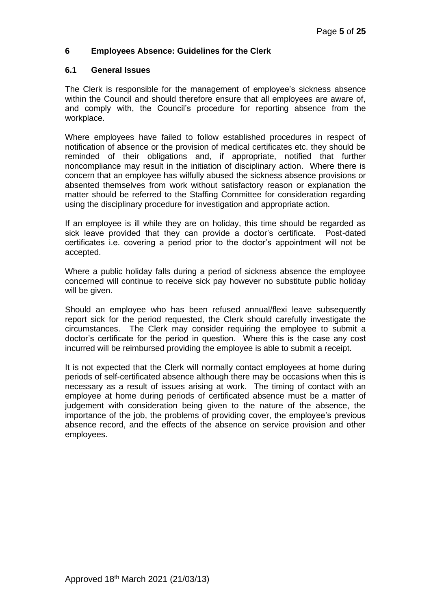## **6 Employees Absence: Guidelines for the Clerk**

#### **6.1 General Issues**

The Clerk is responsible for the management of employee's sickness absence within the Council and should therefore ensure that all employees are aware of, and comply with, the Council's procedure for reporting absence from the workplace.

Where employees have failed to follow established procedures in respect of notification of absence or the provision of medical certificates etc. they should be reminded of their obligations and, if appropriate, notified that further noncompliance may result in the initiation of disciplinary action. Where there is concern that an employee has wilfully abused the sickness absence provisions or absented themselves from work without satisfactory reason or explanation the matter should be referred to the Staffing Committee for consideration regarding using the disciplinary procedure for investigation and appropriate action.

If an employee is ill while they are on holiday, this time should be regarded as sick leave provided that they can provide a doctor's certificate. Post-dated certificates i.e. covering a period prior to the doctor's appointment will not be accepted.

Where a public holiday falls during a period of sickness absence the employee concerned will continue to receive sick pay however no substitute public holiday will be given.

Should an employee who has been refused annual/flexi leave subsequently report sick for the period requested, the Clerk should carefully investigate the circumstances. The Clerk may consider requiring the employee to submit a doctor's certificate for the period in question. Where this is the case any cost incurred will be reimbursed providing the employee is able to submit a receipt.

It is not expected that the Clerk will normally contact employees at home during periods of self-certificated absence although there may be occasions when this is necessary as a result of issues arising at work. The timing of contact with an employee at home during periods of certificated absence must be a matter of judgement with consideration being given to the nature of the absence, the importance of the job, the problems of providing cover, the employee's previous absence record, and the effects of the absence on service provision and other employees.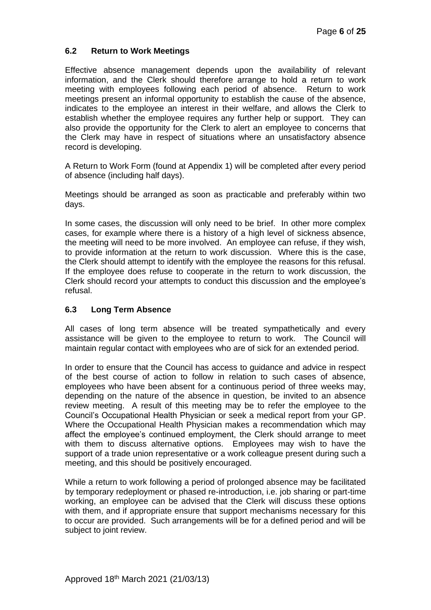## **6.2 Return to Work Meetings**

Effective absence management depends upon the availability of relevant information, and the Clerk should therefore arrange to hold a return to work meeting with employees following each period of absence. Return to work meetings present an informal opportunity to establish the cause of the absence, indicates to the employee an interest in their welfare, and allows the Clerk to establish whether the employee requires any further help or support. They can also provide the opportunity for the Clerk to alert an employee to concerns that the Clerk may have in respect of situations where an unsatisfactory absence record is developing.

A Return to Work Form (found at Appendix 1) will be completed after every period of absence (including half days).

Meetings should be arranged as soon as practicable and preferably within two days.

In some cases, the discussion will only need to be brief. In other more complex cases, for example where there is a history of a high level of sickness absence, the meeting will need to be more involved. An employee can refuse, if they wish, to provide information at the return to work discussion. Where this is the case, the Clerk should attempt to identify with the employee the reasons for this refusal. If the employee does refuse to cooperate in the return to work discussion, the Clerk should record your attempts to conduct this discussion and the employee's refusal.

### **6.3 Long Term Absence**

All cases of long term absence will be treated sympathetically and every assistance will be given to the employee to return to work. The Council will maintain regular contact with employees who are of sick for an extended period.

In order to ensure that the Council has access to guidance and advice in respect of the best course of action to follow in relation to such cases of absence, employees who have been absent for a continuous period of three weeks may, depending on the nature of the absence in question, be invited to an absence review meeting. A result of this meeting may be to refer the employee to the Council's Occupational Health Physician or seek a medical report from your GP. Where the Occupational Health Physician makes a recommendation which may affect the employee's continued employment, the Clerk should arrange to meet with them to discuss alternative options. Employees may wish to have the support of a trade union representative or a work colleague present during such a meeting, and this should be positively encouraged.

While a return to work following a period of prolonged absence may be facilitated by temporary redeployment or phased re-introduction, i.e. job sharing or part-time working, an employee can be advised that the Clerk will discuss these options with them, and if appropriate ensure that support mechanisms necessary for this to occur are provided. Such arrangements will be for a defined period and will be subject to joint review.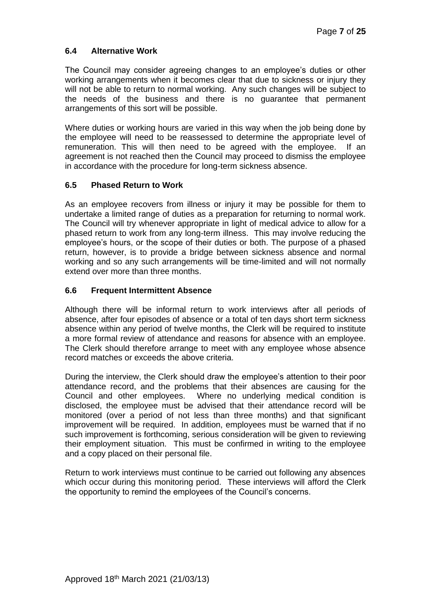## **6.4 Alternative Work**

The Council may consider agreeing changes to an employee's duties or other working arrangements when it becomes clear that due to sickness or injury they will not be able to return to normal working. Any such changes will be subject to the needs of the business and there is no guarantee that permanent arrangements of this sort will be possible.

Where duties or working hours are varied in this way when the job being done by the employee will need to be reassessed to determine the appropriate level of remuneration. This will then need to be agreed with the employee. If an agreement is not reached then the Council may proceed to dismiss the employee in accordance with the procedure for long-term sickness absence.

## **6.5 Phased Return to Work**

As an employee recovers from illness or injury it may be possible for them to undertake a limited range of duties as a preparation for returning to normal work. The Council will try whenever appropriate in light of medical advice to allow for a phased return to work from any long-term illness. This may involve reducing the employee's hours, or the scope of their duties or both. The purpose of a phased return, however, is to provide a bridge between sickness absence and normal working and so any such arrangements will be time-limited and will not normally extend over more than three months.

## **6.6 Frequent Intermittent Absence**

Although there will be informal return to work interviews after all periods of absence, after four episodes of absence or a total of ten days short term sickness absence within any period of twelve months, the Clerk will be required to institute a more formal review of attendance and reasons for absence with an employee. The Clerk should therefore arrange to meet with any employee whose absence record matches or exceeds the above criteria.

During the interview, the Clerk should draw the employee's attention to their poor attendance record, and the problems that their absences are causing for the Council and other employees. Where no underlying medical condition is disclosed, the employee must be advised that their attendance record will be monitored (over a period of not less than three months) and that significant improvement will be required. In addition, employees must be warned that if no such improvement is forthcoming, serious consideration will be given to reviewing their employment situation. This must be confirmed in writing to the employee and a copy placed on their personal file.

Return to work interviews must continue to be carried out following any absences which occur during this monitoring period. These interviews will afford the Clerk the opportunity to remind the employees of the Council's concerns.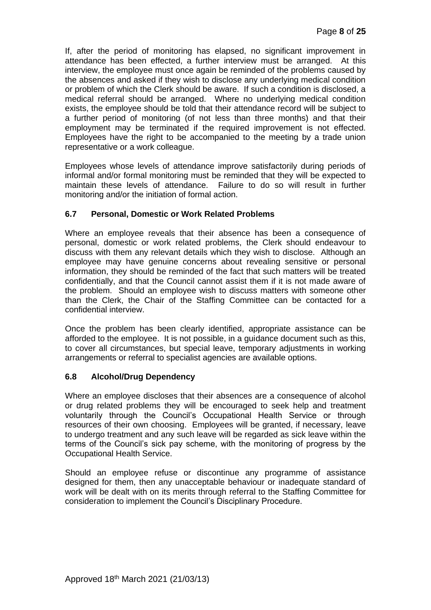If, after the period of monitoring has elapsed, no significant improvement in attendance has been effected, a further interview must be arranged. At this interview, the employee must once again be reminded of the problems caused by the absences and asked if they wish to disclose any underlying medical condition or problem of which the Clerk should be aware. If such a condition is disclosed, a medical referral should be arranged. Where no underlying medical condition exists, the employee should be told that their attendance record will be subject to a further period of monitoring (of not less than three months) and that their employment may be terminated if the required improvement is not effected. Employees have the right to be accompanied to the meeting by a trade union representative or a work colleague.

Employees whose levels of attendance improve satisfactorily during periods of informal and/or formal monitoring must be reminded that they will be expected to maintain these levels of attendance. Failure to do so will result in further monitoring and/or the initiation of formal action.

## **6.7 Personal, Domestic or Work Related Problems**

Where an employee reveals that their absence has been a consequence of personal, domestic or work related problems, the Clerk should endeavour to discuss with them any relevant details which they wish to disclose. Although an employee may have genuine concerns about revealing sensitive or personal information, they should be reminded of the fact that such matters will be treated confidentially, and that the Council cannot assist them if it is not made aware of the problem. Should an employee wish to discuss matters with someone other than the Clerk, the Chair of the Staffing Committee can be contacted for a confidential interview.

Once the problem has been clearly identified, appropriate assistance can be afforded to the employee. It is not possible, in a guidance document such as this, to cover all circumstances, but special leave, temporary adjustments in working arrangements or referral to specialist agencies are available options.

## **6.8 Alcohol/Drug Dependency**

Where an employee discloses that their absences are a consequence of alcohol or drug related problems they will be encouraged to seek help and treatment voluntarily through the Council's Occupational Health Service or through resources of their own choosing. Employees will be granted, if necessary, leave to undergo treatment and any such leave will be regarded as sick leave within the terms of the Council's sick pay scheme, with the monitoring of progress by the Occupational Health Service.

Should an employee refuse or discontinue any programme of assistance designed for them, then any unacceptable behaviour or inadequate standard of work will be dealt with on its merits through referral to the Staffing Committee for consideration to implement the Council's Disciplinary Procedure.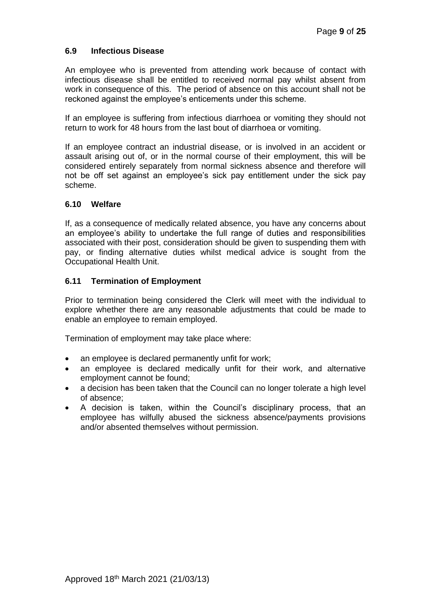### **6.9 Infectious Disease**

An employee who is prevented from attending work because of contact with infectious disease shall be entitled to received normal pay whilst absent from work in consequence of this. The period of absence on this account shall not be reckoned against the employee's enticements under this scheme.

If an employee is suffering from infectious diarrhoea or vomiting they should not return to work for 48 hours from the last bout of diarrhoea or vomiting.

If an employee contract an industrial disease, or is involved in an accident or assault arising out of, or in the normal course of their employment, this will be considered entirely separately from normal sickness absence and therefore will not be off set against an employee's sick pay entitlement under the sick pay scheme.

#### **6.10 Welfare**

If, as a consequence of medically related absence, you have any concerns about an employee's ability to undertake the full range of duties and responsibilities associated with their post, consideration should be given to suspending them with pay, or finding alternative duties whilst medical advice is sought from the Occupational Health Unit.

#### **6.11 Termination of Employment**

Prior to termination being considered the Clerk will meet with the individual to explore whether there are any reasonable adjustments that could be made to enable an employee to remain employed.

Termination of employment may take place where:

- an employee is declared permanently unfit for work;
- an employee is declared medically unfit for their work, and alternative employment cannot be found;
- a decision has been taken that the Council can no longer tolerate a high level of absence;
- A decision is taken, within the Council's disciplinary process, that an employee has wilfully abused the sickness absence/payments provisions and/or absented themselves without permission.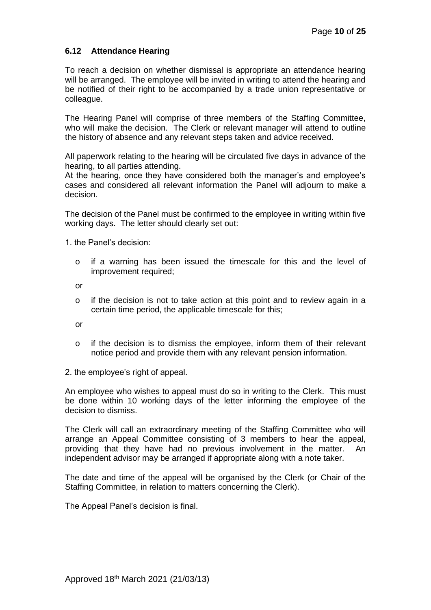### **6.12 Attendance Hearing**

To reach a decision on whether dismissal is appropriate an attendance hearing will be arranged. The employee will be invited in writing to attend the hearing and be notified of their right to be accompanied by a trade union representative or colleague.

The Hearing Panel will comprise of three members of the Staffing Committee, who will make the decision. The Clerk or relevant manager will attend to outline the history of absence and any relevant steps taken and advice received.

All paperwork relating to the hearing will be circulated five days in advance of the hearing, to all parties attending.

At the hearing, once they have considered both the manager's and employee's cases and considered all relevant information the Panel will adjourn to make a decision.

The decision of the Panel must be confirmed to the employee in writing within five working days. The letter should clearly set out:

1. the Panel's decision:

o if a warning has been issued the timescale for this and the level of improvement required;

or

o if the decision is not to take action at this point and to review again in a certain time period, the applicable timescale for this;

or

- o if the decision is to dismiss the employee, inform them of their relevant notice period and provide them with any relevant pension information.
- 2. the employee's right of appeal.

An employee who wishes to appeal must do so in writing to the Clerk. This must be done within 10 working days of the letter informing the employee of the decision to dismiss.

The Clerk will call an extraordinary meeting of the Staffing Committee who will arrange an Appeal Committee consisting of 3 members to hear the appeal, providing that they have had no previous involvement in the matter. An independent advisor may be arranged if appropriate along with a note taker.

The date and time of the appeal will be organised by the Clerk (or Chair of the Staffing Committee, in relation to matters concerning the Clerk).

The Appeal Panel's decision is final.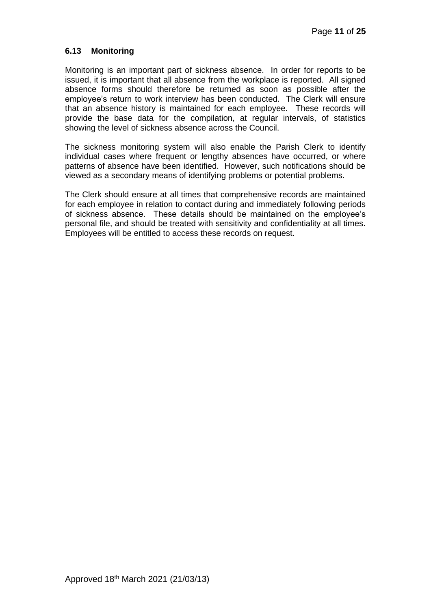### **6.13 Monitoring**

Monitoring is an important part of sickness absence. In order for reports to be issued, it is important that all absence from the workplace is reported. All signed absence forms should therefore be returned as soon as possible after the employee's return to work interview has been conducted. The Clerk will ensure that an absence history is maintained for each employee. These records will provide the base data for the compilation, at regular intervals, of statistics showing the level of sickness absence across the Council.

The sickness monitoring system will also enable the Parish Clerk to identify individual cases where frequent or lengthy absences have occurred, or where patterns of absence have been identified. However, such notifications should be viewed as a secondary means of identifying problems or potential problems.

The Clerk should ensure at all times that comprehensive records are maintained for each employee in relation to contact during and immediately following periods of sickness absence. These details should be maintained on the employee's personal file, and should be treated with sensitivity and confidentiality at all times. Employees will be entitled to access these records on request.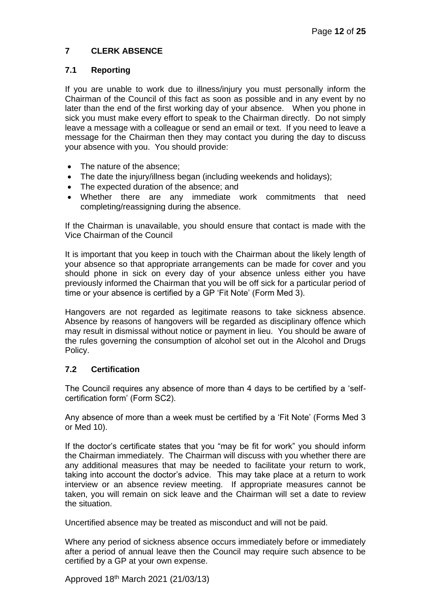## **7 CLERK ABSENCE**

## **7.1 Reporting**

If you are unable to work due to illness/injury you must personally inform the Chairman of the Council of this fact as soon as possible and in any event by no later than the end of the first working day of your absence. When you phone in sick you must make every effort to speak to the Chairman directly. Do not simply leave a message with a colleague or send an email or text. If you need to leave a message for the Chairman then they may contact you during the day to discuss your absence with you. You should provide:

- The nature of the absence:
- The date the injury/illness began (including weekends and holidays);
- The expected duration of the absence; and
- Whether there are any immediate work commitments that need completing/reassigning during the absence.

If the Chairman is unavailable, you should ensure that contact is made with the Vice Chairman of the Council

It is important that you keep in touch with the Chairman about the likely length of your absence so that appropriate arrangements can be made for cover and you should phone in sick on every day of your absence unless either you have previously informed the Chairman that you will be off sick for a particular period of time or your absence is certified by a GP 'Fit Note' (Form Med 3).

Hangovers are not regarded as legitimate reasons to take sickness absence. Absence by reasons of hangovers will be regarded as disciplinary offence which may result in dismissal without notice or payment in lieu. You should be aware of the rules governing the consumption of alcohol set out in the Alcohol and Drugs Policy.

## **7.2 Certification**

The Council requires any absence of more than 4 days to be certified by a 'selfcertification form' (Form SC2).

Any absence of more than a week must be certified by a 'Fit Note' (Forms Med 3 or Med 10).

If the doctor's certificate states that you "may be fit for work" you should inform the Chairman immediately. The Chairman will discuss with you whether there are any additional measures that may be needed to facilitate your return to work, taking into account the doctor's advice. This may take place at a return to work interview or an absence review meeting. If appropriate measures cannot be taken, you will remain on sick leave and the Chairman will set a date to review the situation.

Uncertified absence may be treated as misconduct and will not be paid.

Where any period of sickness absence occurs immediately before or immediately after a period of annual leave then the Council may require such absence to be certified by a GP at your own expense.

Approved 18th March 2021 (21/03/13)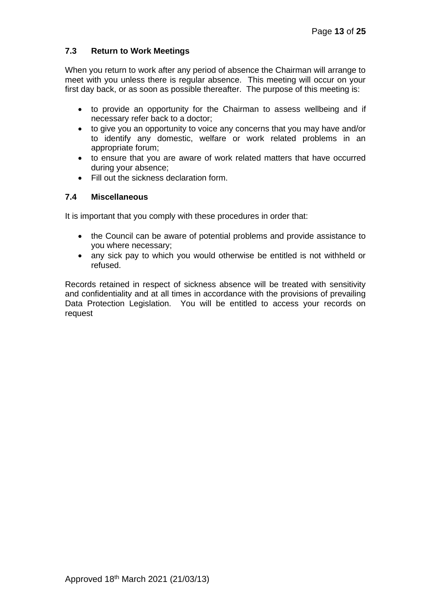## **7.3 Return to Work Meetings**

When you return to work after any period of absence the Chairman will arrange to meet with you unless there is regular absence. This meeting will occur on your first day back, or as soon as possible thereafter. The purpose of this meeting is:

- to provide an opportunity for the Chairman to assess wellbeing and if necessary refer back to a doctor;
- to give you an opportunity to voice any concerns that you may have and/or to identify any domestic, welfare or work related problems in an appropriate forum;
- to ensure that you are aware of work related matters that have occurred during your absence;
- Fill out the sickness declaration form.

## **7.4 Miscellaneous**

It is important that you comply with these procedures in order that:

- the Council can be aware of potential problems and provide assistance to you where necessary;
- any sick pay to which you would otherwise be entitled is not withheld or refused.

Records retained in respect of sickness absence will be treated with sensitivity and confidentiality and at all times in accordance with the provisions of prevailing Data Protection Legislation. You will be entitled to access your records on request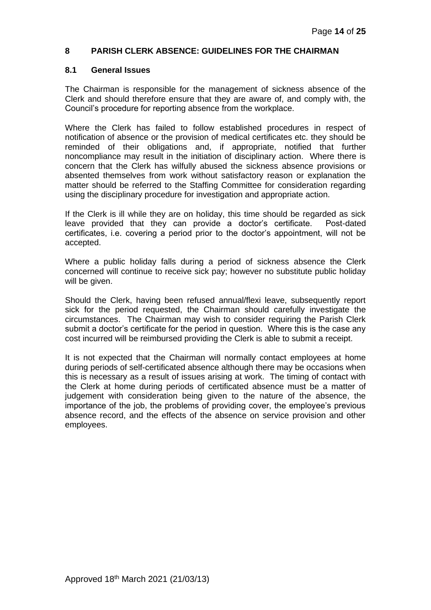#### **8 PARISH CLERK ABSENCE: GUIDELINES FOR THE CHAIRMAN**

#### **8.1 General Issues**

The Chairman is responsible for the management of sickness absence of the Clerk and should therefore ensure that they are aware of, and comply with, the Council's procedure for reporting absence from the workplace.

Where the Clerk has failed to follow established procedures in respect of notification of absence or the provision of medical certificates etc. they should be reminded of their obligations and, if appropriate, notified that further noncompliance may result in the initiation of disciplinary action. Where there is concern that the Clerk has wilfully abused the sickness absence provisions or absented themselves from work without satisfactory reason or explanation the matter should be referred to the Staffing Committee for consideration regarding using the disciplinary procedure for investigation and appropriate action.

If the Clerk is ill while they are on holiday, this time should be regarded as sick leave provided that they can provide a doctor's certificate. Post-dated certificates, i.e. covering a period prior to the doctor's appointment, will not be accepted.

Where a public holiday falls during a period of sickness absence the Clerk concerned will continue to receive sick pay; however no substitute public holiday will be given.

Should the Clerk, having been refused annual/flexi leave, subsequently report sick for the period requested, the Chairman should carefully investigate the circumstances. The Chairman may wish to consider requiring the Parish Clerk submit a doctor's certificate for the period in question. Where this is the case any cost incurred will be reimbursed providing the Clerk is able to submit a receipt.

It is not expected that the Chairman will normally contact employees at home during periods of self-certificated absence although there may be occasions when this is necessary as a result of issues arising at work. The timing of contact with the Clerk at home during periods of certificated absence must be a matter of judgement with consideration being given to the nature of the absence, the importance of the job, the problems of providing cover, the employee's previous absence record, and the effects of the absence on service provision and other employees.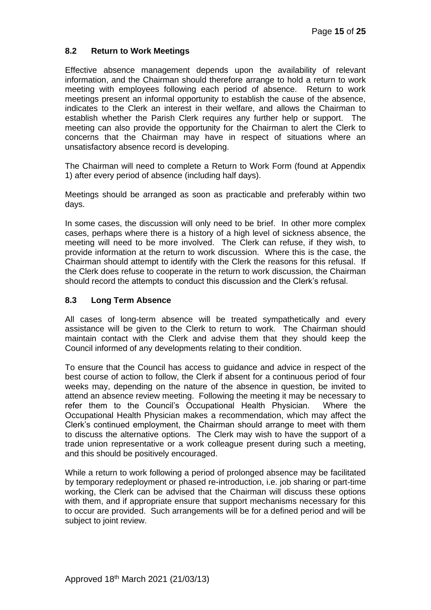## **8.2 Return to Work Meetings**

Effective absence management depends upon the availability of relevant information, and the Chairman should therefore arrange to hold a return to work meeting with employees following each period of absence. Return to work meetings present an informal opportunity to establish the cause of the absence, indicates to the Clerk an interest in their welfare, and allows the Chairman to establish whether the Parish Clerk requires any further help or support. The meeting can also provide the opportunity for the Chairman to alert the Clerk to concerns that the Chairman may have in respect of situations where an unsatisfactory absence record is developing.

The Chairman will need to complete a Return to Work Form (found at Appendix 1) after every period of absence (including half days).

Meetings should be arranged as soon as practicable and preferably within two days.

In some cases, the discussion will only need to be brief. In other more complex cases, perhaps where there is a history of a high level of sickness absence, the meeting will need to be more involved. The Clerk can refuse, if they wish, to provide information at the return to work discussion. Where this is the case, the Chairman should attempt to identify with the Clerk the reasons for this refusal. If the Clerk does refuse to cooperate in the return to work discussion, the Chairman should record the attempts to conduct this discussion and the Clerk's refusal.

#### **8.3 Long Term Absence**

All cases of long-term absence will be treated sympathetically and every assistance will be given to the Clerk to return to work. The Chairman should maintain contact with the Clerk and advise them that they should keep the Council informed of any developments relating to their condition.

To ensure that the Council has access to guidance and advice in respect of the best course of action to follow, the Clerk if absent for a continuous period of four weeks may, depending on the nature of the absence in question, be invited to attend an absence review meeting. Following the meeting it may be necessary to refer them to the Council's Occupational Health Physician. Where the Occupational Health Physician makes a recommendation, which may affect the Clerk's continued employment, the Chairman should arrange to meet with them to discuss the alternative options. The Clerk may wish to have the support of a trade union representative or a work colleague present during such a meeting, and this should be positively encouraged.

While a return to work following a period of prolonged absence may be facilitated by temporary redeployment or phased re-introduction, i.e. job sharing or part-time working, the Clerk can be advised that the Chairman will discuss these options with them, and if appropriate ensure that support mechanisms necessary for this to occur are provided. Such arrangements will be for a defined period and will be subject to joint review.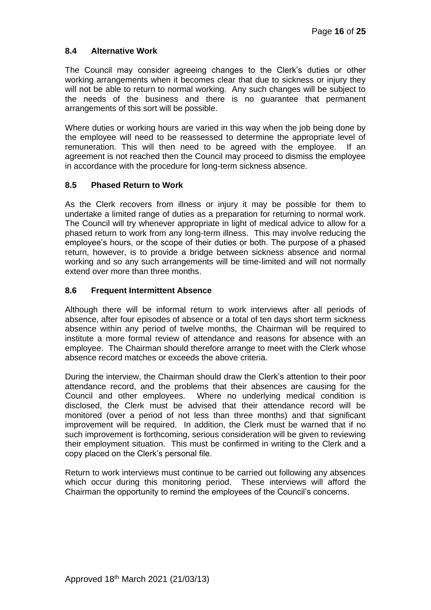## **8.4 Alternative Work**

The Council may consider agreeing changes to the Clerk's duties or other working arrangements when it becomes clear that due to sickness or injury they will not be able to return to normal working. Any such changes will be subject to the needs of the business and there is no guarantee that permanent arrangements of this sort will be possible.

Where duties or working hours are varied in this way when the job being done by the employee will need to be reassessed to determine the appropriate level of remuneration. This will then need to be agreed with the employee. If an agreement is not reached then the Council may proceed to dismiss the employee in accordance with the procedure for long-term sickness absence.

## **8.5 Phased Return to Work**

As the Clerk recovers from illness or injury it may be possible for them to undertake a limited range of duties as a preparation for returning to normal work. The Council will try whenever appropriate in light of medical advice to allow for a phased return to work from any long-term illness. This may involve reducing the employee's hours, or the scope of their duties or both. The purpose of a phased return, however, is to provide a bridge between sickness absence and normal working and so any such arrangements will be time-limited and will not normally extend over more than three months.

## **8.6 Frequent Intermittent Absence**

Although there will be informal return to work interviews after all periods of absence, after four episodes of absence or a total of ten days short term sickness absence within any period of twelve months, the Chairman will be required to institute a more formal review of attendance and reasons for absence with an employee. The Chairman should therefore arrange to meet with the Clerk whose absence record matches or exceeds the above criteria.

During the interview, the Chairman should draw the Clerk's attention to their poor attendance record, and the problems that their absences are causing for the Council and other employees. Where no underlying medical condition is disclosed, the Clerk must be advised that their attendance record will be monitored (over a period of not less than three months) and that significant improvement will be required. In addition, the Clerk must be warned that if no such improvement is forthcoming, serious consideration will be given to reviewing their employment situation. This must be confirmed in writing to the Clerk and a copy placed on the Clerk's personal file.

Return to work interviews must continue to be carried out following any absences which occur during this monitoring period. These interviews will afford the Chairman the opportunity to remind the employees of the Council's concerns.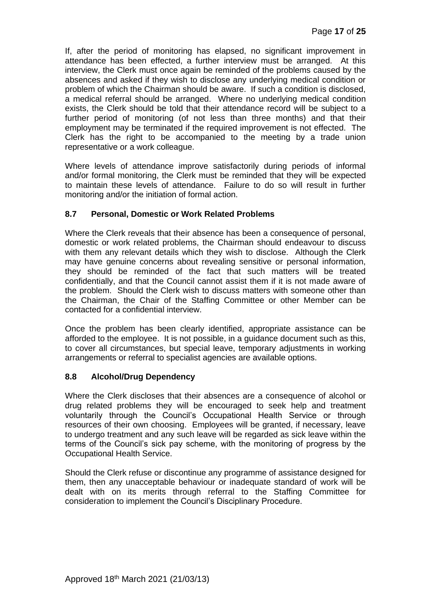If, after the period of monitoring has elapsed, no significant improvement in attendance has been effected, a further interview must be arranged. At this interview, the Clerk must once again be reminded of the problems caused by the absences and asked if they wish to disclose any underlying medical condition or problem of which the Chairman should be aware. If such a condition is disclosed, a medical referral should be arranged. Where no underlying medical condition exists, the Clerk should be told that their attendance record will be subject to a further period of monitoring (of not less than three months) and that their employment may be terminated if the required improvement is not effected. The Clerk has the right to be accompanied to the meeting by a trade union representative or a work colleague.

Where levels of attendance improve satisfactorily during periods of informal and/or formal monitoring, the Clerk must be reminded that they will be expected to maintain these levels of attendance. Failure to do so will result in further monitoring and/or the initiation of formal action.

## **8.7 Personal, Domestic or Work Related Problems**

Where the Clerk reveals that their absence has been a consequence of personal, domestic or work related problems, the Chairman should endeavour to discuss with them any relevant details which they wish to disclose. Although the Clerk may have genuine concerns about revealing sensitive or personal information, they should be reminded of the fact that such matters will be treated confidentially, and that the Council cannot assist them if it is not made aware of the problem. Should the Clerk wish to discuss matters with someone other than the Chairman, the Chair of the Staffing Committee or other Member can be contacted for a confidential interview.

Once the problem has been clearly identified, appropriate assistance can be afforded to the employee. It is not possible, in a guidance document such as this, to cover all circumstances, but special leave, temporary adjustments in working arrangements or referral to specialist agencies are available options.

## **8.8 Alcohol/Drug Dependency**

Where the Clerk discloses that their absences are a consequence of alcohol or drug related problems they will be encouraged to seek help and treatment voluntarily through the Council's Occupational Health Service or through resources of their own choosing. Employees will be granted, if necessary, leave to undergo treatment and any such leave will be regarded as sick leave within the terms of the Council's sick pay scheme, with the monitoring of progress by the Occupational Health Service.

Should the Clerk refuse or discontinue any programme of assistance designed for them, then any unacceptable behaviour or inadequate standard of work will be dealt with on its merits through referral to the Staffing Committee for consideration to implement the Council's Disciplinary Procedure.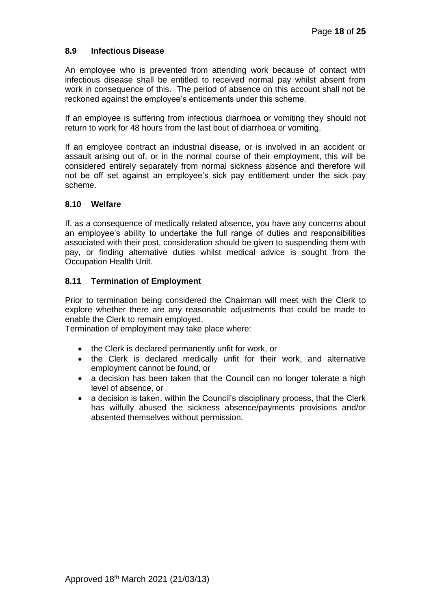### **8.9 Infectious Disease**

An employee who is prevented from attending work because of contact with infectious disease shall be entitled to received normal pay whilst absent from work in consequence of this. The period of absence on this account shall not be reckoned against the employee's enticements under this scheme.

If an employee is suffering from infectious diarrhoea or vomiting they should not return to work for 48 hours from the last bout of diarrhoea or vomiting.

If an employee contract an industrial disease, or is involved in an accident or assault arising out of, or in the normal course of their employment, this will be considered entirely separately from normal sickness absence and therefore will not be off set against an employee's sick pay entitlement under the sick pay scheme.

#### **8.10 Welfare**

If, as a consequence of medically related absence, you have any concerns about an employee's ability to undertake the full range of duties and responsibilities associated with their post, consideration should be given to suspending them with pay, or finding alternative duties whilst medical advice is sought from the Occupation Health Unit.

#### **8.11 Termination of Employment**

Prior to termination being considered the Chairman will meet with the Clerk to explore whether there are any reasonable adjustments that could be made to enable the Clerk to remain employed.

Termination of employment may take place where:

- the Clerk is declared permanently unfit for work, or
- the Clerk is declared medically unfit for their work, and alternative employment cannot be found, or
- a decision has been taken that the Council can no longer tolerate a high level of absence, or
- a decision is taken, within the Council's disciplinary process, that the Clerk has wilfully abused the sickness absence/payments provisions and/or absented themselves without permission.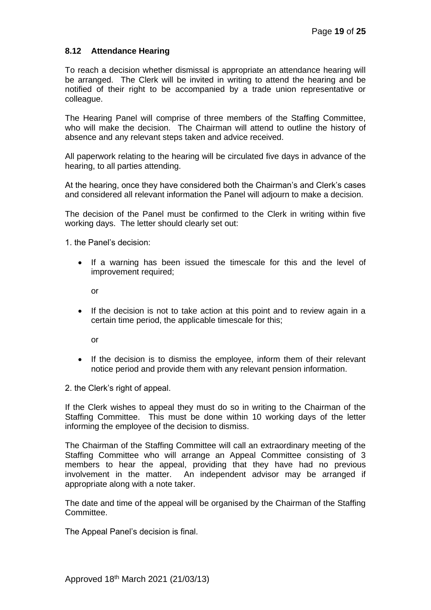### **8.12 Attendance Hearing**

To reach a decision whether dismissal is appropriate an attendance hearing will be arranged. The Clerk will be invited in writing to attend the hearing and be notified of their right to be accompanied by a trade union representative or colleague.

The Hearing Panel will comprise of three members of the Staffing Committee, who will make the decision. The Chairman will attend to outline the history of absence and any relevant steps taken and advice received.

All paperwork relating to the hearing will be circulated five days in advance of the hearing, to all parties attending.

At the hearing, once they have considered both the Chairman's and Clerk's cases and considered all relevant information the Panel will adjourn to make a decision.

The decision of the Panel must be confirmed to the Clerk in writing within five working days. The letter should clearly set out:

1. the Panel's decision:

• If a warning has been issued the timescale for this and the level of improvement required;

or

If the decision is not to take action at this point and to review again in a certain time period, the applicable timescale for this;

or

• If the decision is to dismiss the employee, inform them of their relevant notice period and provide them with any relevant pension information.

2. the Clerk's right of appeal.

If the Clerk wishes to appeal they must do so in writing to the Chairman of the Staffing Committee. This must be done within 10 working days of the letter informing the employee of the decision to dismiss.

The Chairman of the Staffing Committee will call an extraordinary meeting of the Staffing Committee who will arrange an Appeal Committee consisting of 3 members to hear the appeal, providing that they have had no previous involvement in the matter. An independent advisor may be arranged if appropriate along with a note taker.

The date and time of the appeal will be organised by the Chairman of the Staffing Committee.

The Appeal Panel's decision is final.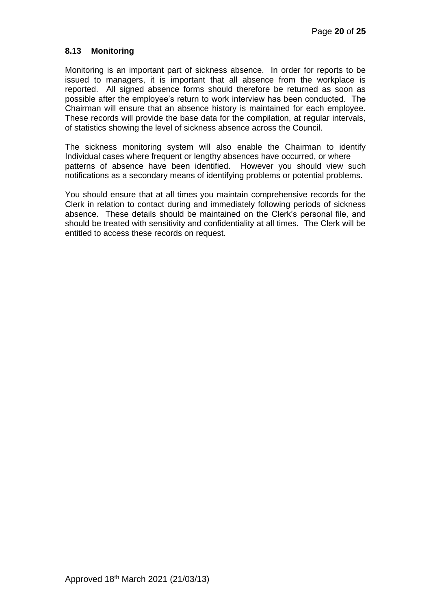### **8.13 Monitoring**

Monitoring is an important part of sickness absence. In order for reports to be issued to managers, it is important that all absence from the workplace is reported. All signed absence forms should therefore be returned as soon as possible after the employee's return to work interview has been conducted. The Chairman will ensure that an absence history is maintained for each employee. These records will provide the base data for the compilation, at regular intervals, of statistics showing the level of sickness absence across the Council.

The sickness monitoring system will also enable the Chairman to identify Individual cases where frequent or lengthy absences have occurred, or where patterns of absence have been identified. However you should view such notifications as a secondary means of identifying problems or potential problems.

You should ensure that at all times you maintain comprehensive records for the Clerk in relation to contact during and immediately following periods of sickness absence. These details should be maintained on the Clerk's personal file, and should be treated with sensitivity and confidentiality at all times. The Clerk will be entitled to access these records on request.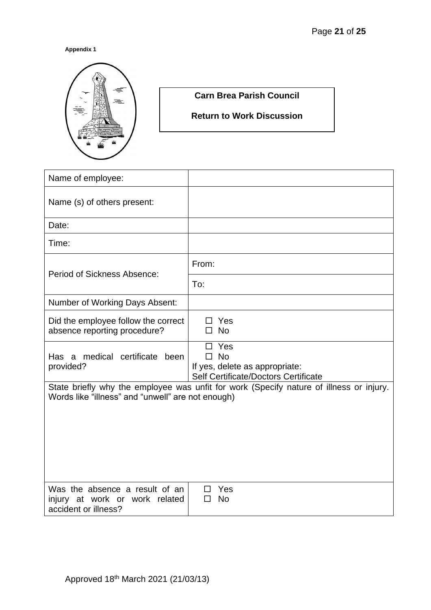#### **Appendix 1**



# **Carn Brea Parish Council**

**Return to Work Discussion**

| Name of employee:                                                                        |                                                                                                 |
|------------------------------------------------------------------------------------------|-------------------------------------------------------------------------------------------------|
| Name (s) of others present:                                                              |                                                                                                 |
| Date:                                                                                    |                                                                                                 |
| Time:                                                                                    |                                                                                                 |
| Period of Sickness Absence:                                                              | From:                                                                                           |
|                                                                                          | To:                                                                                             |
| Number of Working Days Absent:                                                           |                                                                                                 |
| Did the employee follow the correct<br>absence reporting procedure?                      | $\Box$ Yes<br>$\square$ No                                                                      |
| Has a medical certificate been<br>provided?                                              | Yes<br><b>No</b><br>п<br>If yes, delete as appropriate:<br>Self Certificate/Doctors Certificate |
| Words like "illness" and "unwell" are not enough)                                        | State briefly why the employee was unfit for work (Specify nature of illness or injury.         |
| Was the absence a result of an<br>injury at work or work related<br>accident or illness? | Yes<br>П<br><b>No</b><br>П                                                                      |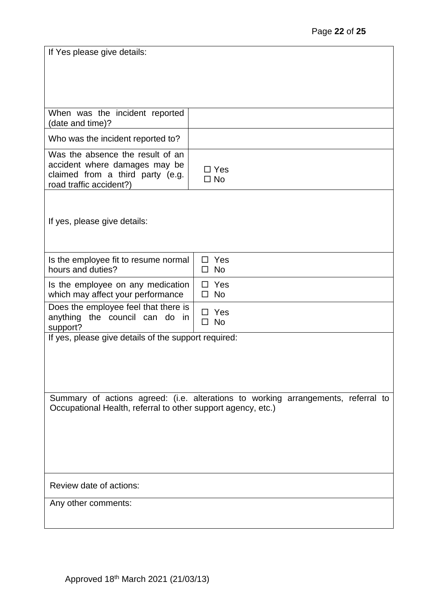| If Yes please give details:                                                                                                      |                                                                                   |
|----------------------------------------------------------------------------------------------------------------------------------|-----------------------------------------------------------------------------------|
|                                                                                                                                  |                                                                                   |
|                                                                                                                                  |                                                                                   |
| When was the incident reported<br>(date and time)?                                                                               |                                                                                   |
| Who was the incident reported to?                                                                                                |                                                                                   |
| Was the absence the result of an<br>accident where damages may be<br>claimed from a third party (e.g.<br>road traffic accident?) | $\Box$ Yes<br>$\square$ No                                                        |
|                                                                                                                                  |                                                                                   |
| If yes, please give details:                                                                                                     |                                                                                   |
|                                                                                                                                  |                                                                                   |
| Is the employee fit to resume normal                                                                                             | Yes<br>п                                                                          |
| hours and duties?                                                                                                                | $\square$ No                                                                      |
| Is the employee on any medication<br>which may affect your performance                                                           | Yes<br>п<br>$\square$ No                                                          |
| Does the employee feel that there is<br>anything the council can do in<br>support?                                               | $\Box$ Yes<br>$\square$ No                                                        |
| If yes, please give details of the support required:                                                                             |                                                                                   |
|                                                                                                                                  |                                                                                   |
|                                                                                                                                  |                                                                                   |
|                                                                                                                                  |                                                                                   |
| Occupational Health, referral to other support agency, etc.)                                                                     | Summary of actions agreed: (i.e. alterations to working arrangements, referral to |
|                                                                                                                                  |                                                                                   |
|                                                                                                                                  |                                                                                   |
|                                                                                                                                  |                                                                                   |
|                                                                                                                                  |                                                                                   |
| Review date of actions:                                                                                                          |                                                                                   |
| Any other comments:                                                                                                              |                                                                                   |
|                                                                                                                                  |                                                                                   |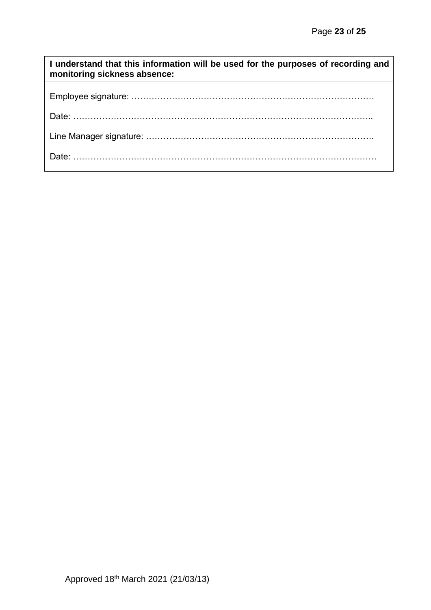| I understand that this information will be used for the purposes of recording and<br>monitoring sickness absence: |
|-------------------------------------------------------------------------------------------------------------------|
|                                                                                                                   |
|                                                                                                                   |
|                                                                                                                   |
|                                                                                                                   |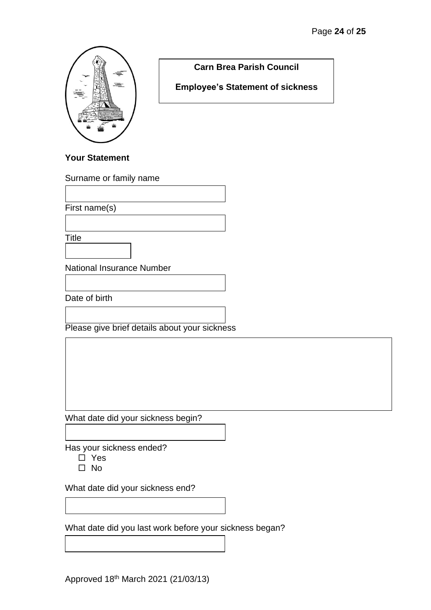

**Carn Brea Parish Council**

**Employee's Statement of sickness**

# **Your Statement**

Surname or family name

First name(s)

**Title** 

National Insurance Number

Date of birth

Please give brief details about your sickness

What date did your sickness begin?

Has your sickness ended?

- □ Yes
- $\square$  No

What date did your sickness end?

What date did you last work before your sickness began?